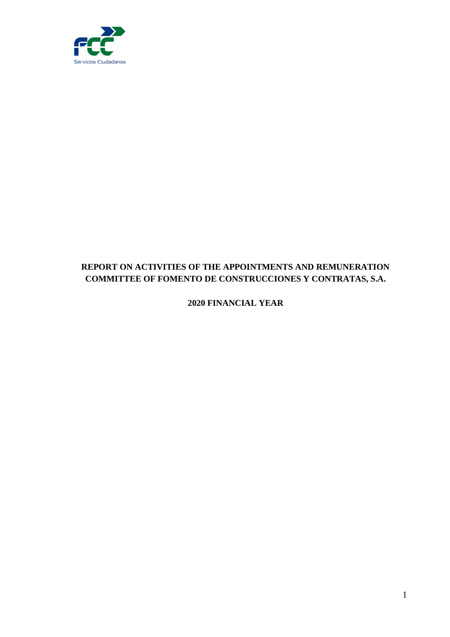

# **REPORT ON ACTIVITIES OF THE APPOINTMENTS AND REMUNERATION COMMITTEE OF FOMENTO DE CONSTRUCCIONES Y CONTRATAS, S.A.**

**2020 FINANCIAL YEAR**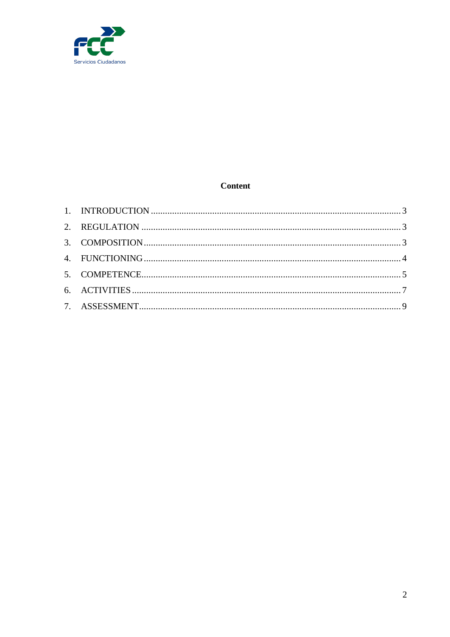

## **Content**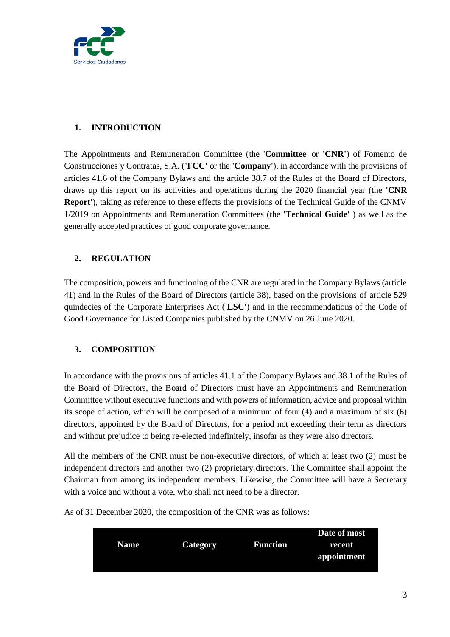

## <span id="page-2-0"></span>**1. INTRODUCTION**

The Appointments and Remuneration Committee (the '**Committee**' or **'CNR'**) of Fomento de Construcciones y Contratas, S.A. (**'FCC'** or the **'Company'**), in accordance with the provisions of articles 41.6 of the Company Bylaws and the article 38.7 of the Rules of the Board of Directors, draws up this report on its activities and operations during the 2020 financial year (the **'CNR Report'**), taking as reference to these effects the provisions of the Technical Guide of the CNMV 1/2019 on Appointments and Remuneration Committees (the **'Technical Guide'** ) as well as the generally accepted practices of good corporate governance.

## <span id="page-2-1"></span>**2. REGULATION**

The composition, powers and functioning of the CNR are regulated in the Company Bylaws (article 41) and in the Rules of the Board of Directors (article 38), based on the provisions of article 529 quindecies of the Corporate Enterprises Act (**'LSC'**) and in the recommendations of the Code of Good Governance for Listed Companies published by the CNMV on 26 June 2020.

## <span id="page-2-2"></span>**3. COMPOSITION**

In accordance with the provisions of articles 41.1 of the Company Bylaws and 38.1 of the Rules of the Board of Directors, the Board of Directors must have an Appointments and Remuneration Committee without executive functions and with powers of information, advice and proposal within its scope of action, which will be composed of a minimum of four (4) and a maximum of six (6) directors, appointed by the Board of Directors, for a period not exceeding their term as directors and without prejudice to being re-elected indefinitely, insofar as they were also directors.

All the members of the CNR must be non-executive directors, of which at least two (2) must be independent directors and another two (2) proprietary directors. The Committee shall appoint the Chairman from among its independent members. Likewise, the Committee will have a Secretary with a voice and without a vote, who shall not need to be a director.

As of 31 December 2020, the composition of the CNR was as follows:

|             |                 |                 | Date of most |
|-------------|-----------------|-----------------|--------------|
| <b>Name</b> | <b>Category</b> | <b>Function</b> | recent       |
|             |                 |                 | appointment  |
|             |                 |                 |              |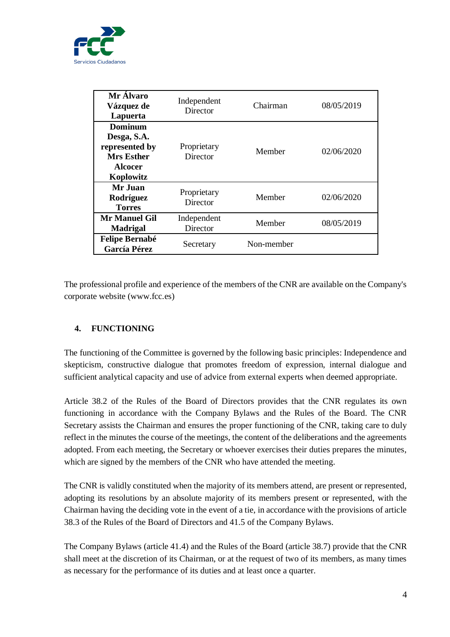

| Mr Álvaro<br>Vázquez de<br>Lapuerta                                                                 | Independent<br>Director | Chairman   | 08/05/2019 |
|-----------------------------------------------------------------------------------------------------|-------------------------|------------|------------|
| <b>Dominum</b><br>Desga, S.A.<br>represented by<br><b>Mrs Esther</b><br><b>Alcocer</b><br>Koplowitz | Proprietary<br>Director | Member     | 02/06/2020 |
| Mr Juan<br>Rodríguez<br><b>Torres</b>                                                               | Proprietary<br>Director | Member     | 02/06/2020 |
| Mr Manuel Gil<br><b>Madrigal</b>                                                                    | Independent<br>Director | Member     | 08/05/2019 |
| <b>Felipe Bernabé</b><br><b>García Pérez</b>                                                        | Secretary               | Non-member |            |

The professional profile and experience of the members of the CNR are available on the Company's corporate website (www.fcc.es)

## <span id="page-3-0"></span>**4. FUNCTIONING**

The functioning of the Committee is governed by the following basic principles: Independence and skepticism, constructive dialogue that promotes freedom of expression, internal dialogue and sufficient analytical capacity and use of advice from external experts when deemed appropriate.

Article 38.2 of the Rules of the Board of Directors provides that the CNR regulates its own functioning in accordance with the Company Bylaws and the Rules of the Board. The CNR Secretary assists the Chairman and ensures the proper functioning of the CNR, taking care to duly reflect in the minutes the course of the meetings, the content of the deliberations and the agreements adopted. From each meeting, the Secretary or whoever exercises their duties prepares the minutes, which are signed by the members of the CNR who have attended the meeting.

The CNR is validly constituted when the majority of its members attend, are present or represented, adopting its resolutions by an absolute majority of its members present or represented, with the Chairman having the deciding vote in the event of a tie, in accordance with the provisions of article 38.3 of the Rules of the Board of Directors and 41.5 of the Company Bylaws.

The Company Bylaws (article 41.4) and the Rules of the Board (article 38.7) provide that the CNR shall meet at the discretion of its Chairman, or at the request of two of its members, as many times as necessary for the performance of its duties and at least once a quarter.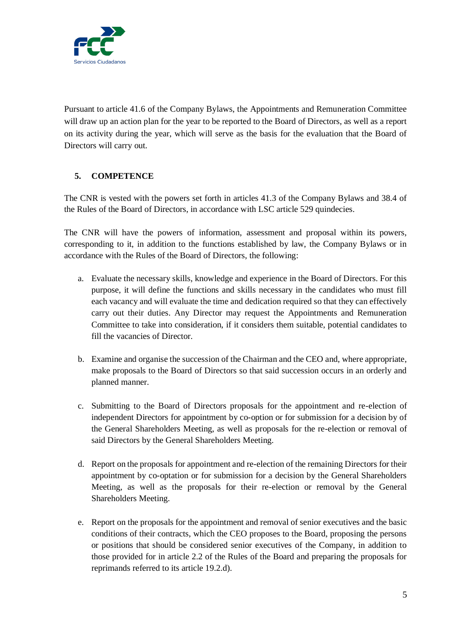

Pursuant to article 41.6 of the Company Bylaws, the Appointments and Remuneration Committee will draw up an action plan for the year to be reported to the Board of Directors, as well as a report on its activity during the year, which will serve as the basis for the evaluation that the Board of Directors will carry out.

## <span id="page-4-0"></span>**5. COMPETENCE**

The CNR is vested with the powers set forth in articles 41.3 of the Company Bylaws and 38.4 of the Rules of the Board of Directors, in accordance with LSC article 529 quindecies.

The CNR will have the powers of information, assessment and proposal within its powers, corresponding to it, in addition to the functions established by law, the Company Bylaws or in accordance with the Rules of the Board of Directors, the following:

- a. Evaluate the necessary skills, knowledge and experience in the Board of Directors. For this purpose, it will define the functions and skills necessary in the candidates who must fill each vacancy and will evaluate the time and dedication required so that they can effectively carry out their duties. Any Director may request the Appointments and Remuneration Committee to take into consideration, if it considers them suitable, potential candidates to fill the vacancies of Director.
- b. Examine and organise the succession of the Chairman and the CEO and, where appropriate, make proposals to the Board of Directors so that said succession occurs in an orderly and planned manner.
- c. Submitting to the Board of Directors proposals for the appointment and re-election of independent Directors for appointment by co-option or for submission for a decision by of the General Shareholders Meeting, as well as proposals for the re-election or removal of said Directors by the General Shareholders Meeting.
- d. Report on the proposals for appointment and re-election of the remaining Directors for their appointment by co-optation or for submission for a decision by the General Shareholders Meeting, as well as the proposals for their re-election or removal by the General Shareholders Meeting.
- e. Report on the proposals for the appointment and removal of senior executives and the basic conditions of their contracts, which the CEO proposes to the Board, proposing the persons or positions that should be considered senior executives of the Company, in addition to those provided for in article 2.2 of the Rules of the Board and preparing the proposals for reprimands referred to its article 19.2.d).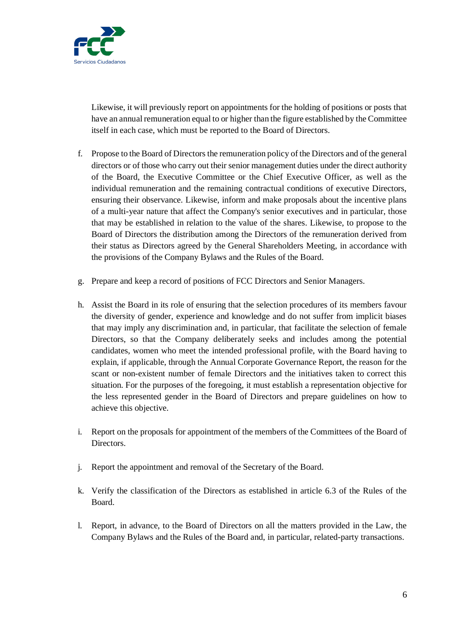

Likewise, it will previously report on appointments for the holding of positions or posts that have an annual remuneration equal to or higher than the figure established by the Committee itself in each case, which must be reported to the Board of Directors.

- f. Propose to the Board of Directors the remuneration policy of the Directors and of the general directors or of those who carry out their senior management duties under the direct authority of the Board, the Executive Committee or the Chief Executive Officer, as well as the individual remuneration and the remaining contractual conditions of executive Directors, ensuring their observance. Likewise, inform and make proposals about the incentive plans of a multi-year nature that affect the Company's senior executives and in particular, those that may be established in relation to the value of the shares. Likewise, to propose to the Board of Directors the distribution among the Directors of the remuneration derived from their status as Directors agreed by the General Shareholders Meeting, in accordance with the provisions of the Company Bylaws and the Rules of the Board.
- g. Prepare and keep a record of positions of FCC Directors and Senior Managers.
- h. Assist the Board in its role of ensuring that the selection procedures of its members favour the diversity of gender, experience and knowledge and do not suffer from implicit biases that may imply any discrimination and, in particular, that facilitate the selection of female Directors, so that the Company deliberately seeks and includes among the potential candidates, women who meet the intended professional profile, with the Board having to explain, if applicable, through the Annual Corporate Governance Report, the reason for the scant or non-existent number of female Directors and the initiatives taken to correct this situation. For the purposes of the foregoing, it must establish a representation objective for the less represented gender in the Board of Directors and prepare guidelines on how to achieve this objective.
- i. Report on the proposals for appointment of the members of the Committees of the Board of Directors.
- j. Report the appointment and removal of the Secretary of the Board.
- k. Verify the classification of the Directors as established in article 6.3 of the Rules of the Board.
- l. Report, in advance, to the Board of Directors on all the matters provided in the Law, the Company Bylaws and the Rules of the Board and, in particular, related-party transactions.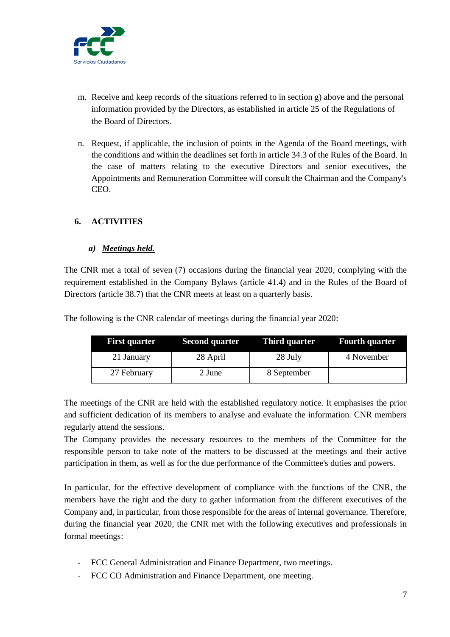

- m. Receive and keep records of the situations referred to in section g) above and the personal information provided by the Directors, as established in article 25 of the Regulations of the Board of Directors.
- n. Request, if applicable, the inclusion of points in the Agenda of the Board meetings, with the conditions and within the deadlines set forth in article 34.3 of the Rules of the Board. In the case of matters relating to the executive Directors and senior executives, the Appointments and Remuneration Committee will consult the Chairman and the Company's CEO.

### <span id="page-6-0"></span>**6. ACTIVITIES**

### *a) Meetings held.*

The CNR met a total of seven (7) occasions during the financial year 2020, complying with the requirement established in the Company Bylaws (article 41.4) and in the Rules of the Board of Directors (article 38.7) that the CNR meets at least on a quarterly basis.

The following is the CNR calendar of meetings during the financial year 2020:

| <b>First quarter</b> | <b>Second quarter</b> | Third quarter | <b>Fourth quarter</b> |
|----------------------|-----------------------|---------------|-----------------------|
| 21 January           | 28 April              | 28 July       | 4 November            |
| 27 February          | 2 June                | 8 September   |                       |

The meetings of the CNR are held with the established regulatory notice. It emphasises the prior and sufficient dedication of its members to analyse and evaluate the information. CNR members regularly attend the sessions.

The Company provides the necessary resources to the members of the Committee for the responsible person to take note of the matters to be discussed at the meetings and their active participation in them, as well as for the due performance of the Committee's duties and powers.

In particular, for the effective development of compliance with the functions of the CNR, the members have the right and the duty to gather information from the different executives of the Company and, in particular, from those responsible for the areas of internal governance. Therefore, during the financial year 2020, the CNR met with the following executives and professionals in formal meetings:

- FCC General Administration and Finance Department, two meetings.
- FCC CO Administration and Finance Department, one meeting.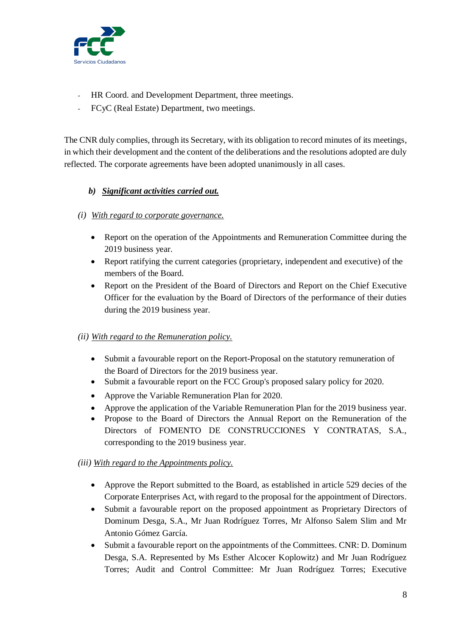

- HR Coord. and Development Department, three meetings.
- FCyC (Real Estate) Department, two meetings.

The CNR duly complies, through its Secretary, with its obligation to record minutes of its meetings, in which their development and the content of the deliberations and the resolutions adopted are duly reflected. The corporate agreements have been adopted unanimously in all cases.

## *b) Significant activities carried out.*

- *(i) With regard to corporate governance.*
	- Report on the operation of the Appointments and Remuneration Committee during the 2019 business year.
	- Report ratifying the current categories (proprietary, independent and executive) of the members of the Board.
	- Report on the President of the Board of Directors and Report on the Chief Executive Officer for the evaluation by the Board of Directors of the performance of their duties during the 2019 business year.

### *(ii) With regard to the Remuneration policy.*

- Submit a favourable report on the Report-Proposal on the statutory remuneration of the Board of Directors for the 2019 business year.
- Submit a favourable report on the FCC Group's proposed salary policy for 2020.
- Approve the Variable Remuneration Plan for 2020.
- Approve the application of the Variable Remuneration Plan for the 2019 business year.
- Propose to the Board of Directors the Annual Report on the Remuneration of the Directors of FOMENTO DE CONSTRUCCIONES Y CONTRATAS, S.A., corresponding to the 2019 business year.

### *(iii) With regard to the Appointments policy.*

- Approve the Report submitted to the Board, as established in article 529 decies of the Corporate Enterprises Act, with regard to the proposal for the appointment of Directors.
- Submit a favourable report on the proposed appointment as Proprietary Directors of Dominum Desga, S.A., Mr Juan Rodríguez Torres, Mr Alfonso Salem Slim and Mr Antonio Gómez García.
- Submit a favourable report on the appointments of the Committees. CNR: D. Dominum Desga, S.A. Represented by Ms Esther Alcocer Koplowitz) and Mr Juan Rodríguez Torres; Audit and Control Committee: Mr Juan Rodríguez Torres; Executive